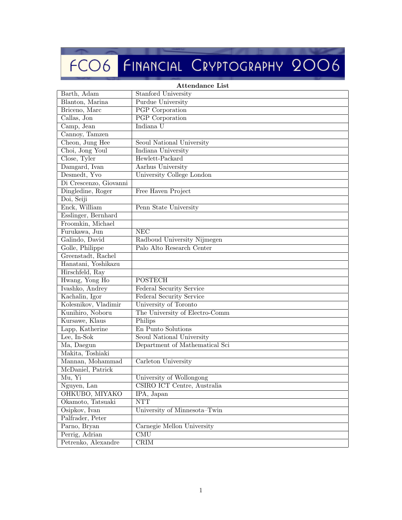## FCO6 FINANCIAL CRYPTOGRAPHY 2006

| Attendance List        |                                |  |
|------------------------|--------------------------------|--|
| Barth, Adam            | Stanford University            |  |
| Blanton, Marina        | Purdue University              |  |
| Briceno, Marc          | <b>PGP</b> Corporation         |  |
| Callas, Jon            | <b>PGP</b> Corporation         |  |
| Camp, Jean             | Indiana U                      |  |
| Cannoy, Tamzen         |                                |  |
| Cheon, Jung Hee        | Seoul National University      |  |
| Choi, Jong Youl        | Indiana University             |  |
| Close, Tyler           | Hewlett-Packard                |  |
| Damgard, Ivan          | Aarhus University              |  |
| Desmedt, Yvo           | University College London      |  |
| Di Crescenzo, Giovanni |                                |  |
| Dingledine, Roger      | Free Haven Project             |  |
| Doi, Seiji             |                                |  |
| Enck, William          | Penn State University          |  |
| Esslinger, Bernhard    |                                |  |
| Froomkin, Michael      |                                |  |
| Furukawa, Jun          | <b>NEC</b>                     |  |
| Galindo, David         | Radboud University Nijmegen    |  |
| Golle, Philippe        | Palo Alto Research Center      |  |
| Greenstadt, Rachel     |                                |  |
| Hanatani, Yoshikazu    |                                |  |
| Hirschfeld, Ray        |                                |  |
| Hwang, Yong Ho         | <b>POSTECH</b>                 |  |
| Ivashko, Andrey        | Federal Security Service       |  |
| Kachalin, Igor         | Federal Security Service       |  |
| Kolesnikov, Vladimir   | University of Toronto          |  |
| Kunihiro, Noboru       | The University of Electro-Comm |  |
| Kursawe, Klaus         | Philips                        |  |
| Lapp, Katherine        | En Punto Solutions             |  |
| Lee, In-Sok            | Seoul National University      |  |
| Ma, Daegun             | Department of Mathematical Sci |  |
| Makita, Toshiaki       |                                |  |
| Mannan, Mohammad       | Carleton University            |  |
| McDaniel, Patrick      |                                |  |
| Mu, Yi                 | University of Wollongong       |  |
| Nguyen, Lan            | CSIRO ICT Centre, Australia    |  |
| OHKUBO, MIYAKO         | IPA, Japan                     |  |
| Okamoto, Tatsuaki      | <b>NTT</b>                     |  |
| Osipkov, Ivan          | University of Minnesota-Twin   |  |
| Palfrader, Peter       |                                |  |
| Parno, Bryan           | Carnegie Mellon University     |  |
| Perrig, Adrian         | CMU                            |  |
| Petrenko, Alexandre    | CRIM                           |  |

## Attendance List